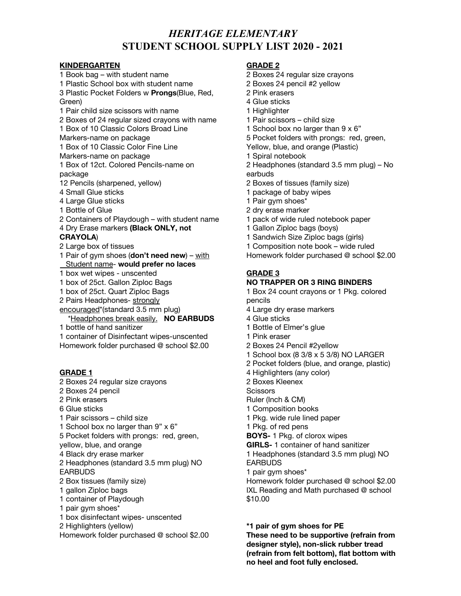# **STUDENT SCHOOL SUPPLY LIST 2020 - 2021** *HERITAGE ELEMENTARY*

#### **KINDERGARTEN**

 Book bag – with student name Plastic Pocket Folders w **Prongs**(Blue, Red, Pair child size scissors with name Boxes of 24 regular sized crayons with name Box of 10 Classic Colors Broad Line Markers-name on package Box of 10 Classic Color Fine Line Markers-name on package Box of 12ct. Colored Pencils-name on Pencils (sharpened, yellow) Small Glue sticks Large Glue sticks Bottle of Glue Containers of Playdough – with student name Dry Erase markers **(Black ONLY, not** Large box of tissues Pair of gym shoes (**don't need new**) – with  $\overline{a}$  box wet wipes - unscented box of 25ct. Gallon Ziploc Bags 2 Pairs Headphones- <u>strongly</u> encouraged\*(standard 3.5 mm plug) bottle of hand sanitizer Plastic School box with student name Green) package **CRAYOLA**) Student name- **would prefer no laces** box of 25ct. Quart Ziploc Bags \*Headphones break easily. **NO EARBUDS**

 container of Disinfectant wipes-unscented Homework folder purchased @ school \$2.00

### **GRADE 1**

 Boxes 24 regular size crayons Boxes 24 pencil Pink erasers Glue sticks Pair scissors – child size School box no larger than 9" x 6" Pocket folders with prongs: red, green, yellow, blue, and orange Black dry erase marker Headphones (standard 3.5 mm plug) NO Box tissues (family size) gallon Ziploc bags container of Playdough pair gym shoes\* box disinfectant wipes- unscented Homework folder purchased @ school \$2.00 EARBUDS Highlighters (yellow)

### **GRADE 2**

- Boxes 24 regular size crayons
- Boxes 24 pencil #2 yellow
- Pink erasers
- Glue sticks
- Highlighter
- Pair scissors child size
- School box no larger than 9 x 6"
- Pocket folders with prongs: red, green,
- Yellow, blue, and orange (Plastic)
- Spiral notebook
- Headphones (standard 3.5 mm plug) No earbuds
- Boxes of tissues (family size)
- package of baby wipes
- Pair gym shoes\*
- dry erase marker
- pack of wide ruled notebook paper
- Gallon Ziploc bags (boys)
- Sandwich Size Ziploc bags (girls)
- Composition note book wide ruled
- Homework folder purchased @ school \$2.00

### **GRADE 3**

### **NO TRAPPER OR 3 RING BINDERS**

 Box 24 count crayons or 1 Pkg. colored pencils

- Large dry erase markers
- Glue sticks
- Bottle of Elmer's glue
- Pink eraser
- Boxes 24 Pencil #2yellow
- School box (8 3/8 x 5 3/8) NO LARGER
- Pocket folders (blue, and orange, plastic)
- Highlighters (any color)

Boxes Kleenex

**Scissors** 

- Ruler (Inch & CM)
- Composition books
- Pkg. wide rule lined paper

Pkg. of red pens

**BOYS-** 1 Pkg. of clorox wipes

**GIRLS-** 1 container of hand sanitizer

 Headphones (standard 3.5 mm plug) NO EARBUDS

pair gym shoes\*

 Homework folder purchased @ school \$2.00 IXL Reading and Math purchased @ school \$10.00

 **\*1 pair of gym shoes for PE These need to be supportive (refrain from designer style), non-slick rubber tread (refrain from felt bottom), flat bottom with no heel and foot fully enclosed.**